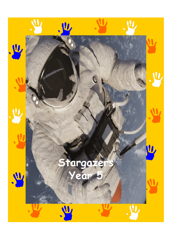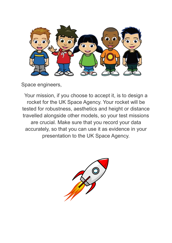

Space engineers,

Your mission, if you choose to accept it, is to design a rocket for the UK Space Agency. Your rocket will be tested for robustness, aesthetics and height or distance travelled alongside other models, so your test missions are crucial. Make sure that you record your data accurately, so that you can use it as evidence in your presentation to the UK Space Agency.

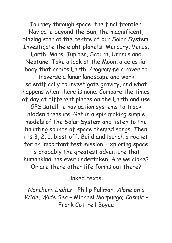Journey through space, the final frontier. Navigate beyond the Sun, the magnificent, blazing star at the centre of our Solar System. Investigate the eight planets: Mercury, Venus,

Earth, Mars, Jupiter, Saturn, Uranus and Neptune. Take a look at the Moon, a celestial body that orbits Earth. Programme a rover to

traverse a lunar landscape and work scientifically to investigate gravity, and what happens when there is none. Compare the times of day at different places on the Earth and use

GPS satellite navigation systems to track hidden treasure. Get in a spin making simple models of the Solar System and listen to the haunting sounds of space themed songs. Then it's 3, 2, 1, blast off. Build and launch a rocket for an important test mission. Exploring space

is probably the greatest adventure that humankind has ever undertaken. Are we alone?

Or are there other life forms out there?

Linked texts:

*Northern Lights* – Philip Pullman; *Alone on a Wide, Wide Sea* – Michael Morpurgo; *Cosmic* – Frank Cottrell Boyce